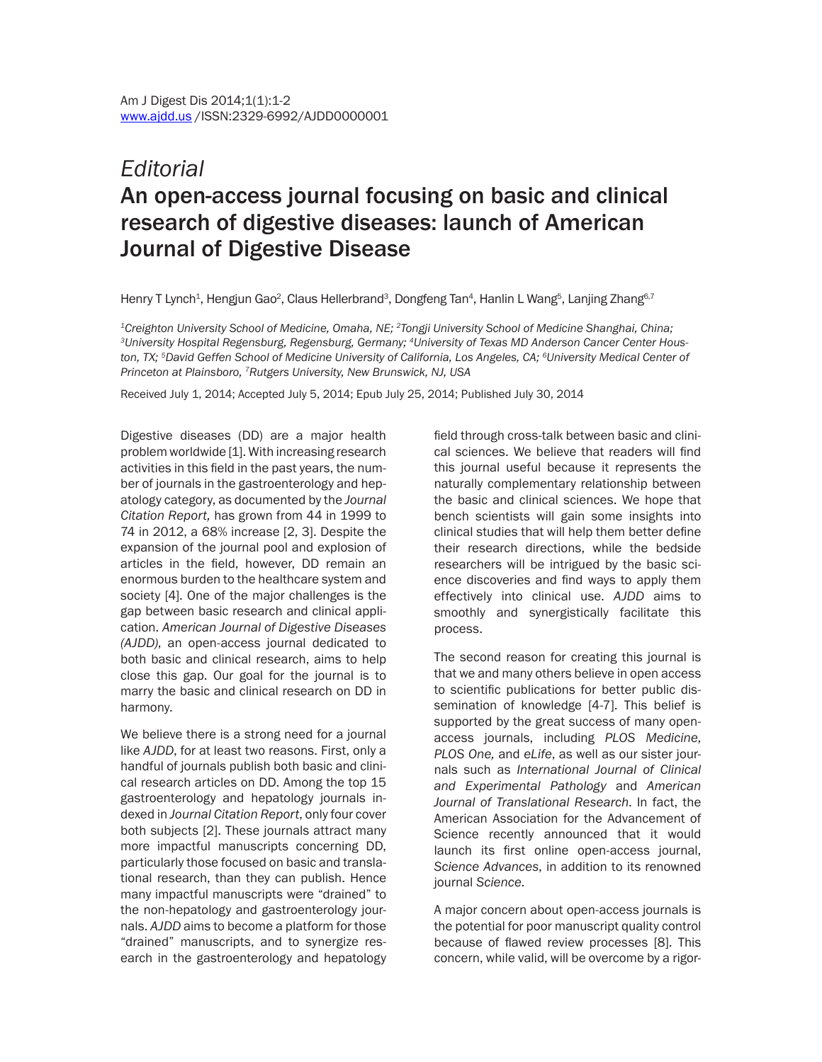## *Editorial* An open-access journal focusing on basic and clinical research of digestive diseases: launch of American Journal of Digestive Disease

Henry T Lynch<sup>1</sup>, Hengjun Gao<sup>2</sup>, Claus Hellerbrand<sup>3</sup>, Dongfeng Tan<sup>4</sup>, Hanlin L Wang<sup>5</sup>, Lanjing Zhang<sup>6.7</sup>

<sup>1</sup>Creighton University School of Medicine, Omaha, NE; <sup>2</sup>Tongji University School of Medicine Shanghai, China;<br><sup>3</sup>University Hospital Regensburg, Regensburg, Germany; <sup>4</sup>University of Texas MD Anderson Cancer Center Houston, TX; <sup>5</sup>David Geffen School of Medicine University of California, Los Angeles, CA; <sup>6</sup>University Medical Center of *Princeton at Plainsboro, 7Rutgers University, New Brunswick, NJ, USA*

Received July 1, 2014; Accepted July 5, 2014; Epub July 25, 2014; Published July 30, 2014

Digestive diseases (DD) are a major health problem worldwide [1]. With increasing research activities in this field in the past years, the number of journals in the gastroenterology and hepatology category, as documented by the *Journal Citation Report,* has grown from 44 in 1999 to 74 in 2012, a 68% increase [2, 3]. Despite the expansion of the journal pool and explosion of articles in the field, however, DD remain an enormous burden to the healthcare system and society [4]. One of the major challenges is the gap between basic research and clinical application. *American Journal of Digestive Diseases (AJDD)*, an open-access journal dedicated to both basic and clinical research, aims to help close this gap. Our goal for the journal is to marry the basic and clinical research on DD in harmony.

We believe there is a strong need for a journal like *AJDD*, for at least two reasons. First, only a handful of journals publish both basic and clinical research articles on DD. Among the top 15 gastroenterology and hepatology journals indexed in *Journal Citation Report*, only four cover both subjects [2]. These journals attract many more impactful manuscripts concerning DD, particularly those focused on basic and translational research, than they can publish. Hence many impactful manuscripts were "drained" to the non-hepatology and gastroenterology journals. *AJDD* aims to become a platform for those "drained" manuscripts, and to synergize research in the gastroenterology and hepatology field through cross-talk between basic and clinical sciences. We believe that readers will find this journal useful because it represents the naturally complementary relationship between the basic and clinical sciences. We hope that bench scientists will gain some insights into clinical studies that will help them better define their research directions, while the bedside researchers will be intrigued by the basic science discoveries and find ways to apply them effectively into clinical use. *AJDD* aims to smoothly and synergistically facilitate this process.

The second reason for creating this journal is that we and many others believe in open access to scientific publications for better public dissemination of knowledge [4-7]. This belief is supported by the great success of many openaccess journals, including *PLOS Medicine*, *PLOS One,* and *eLife*, as well as our sister journals such as *International Journal of Clinical and Experimental Pathology* and *American Journal of Translational Research*. In fact, the American Association for the Advancement of Science recently announced that it would launch its first online open-access journal, *Science Advances*, in addition to its renowned journal *Science*.

A major concern about open-access journals is the potential for poor manuscript quality control because of flawed review processes [8]. This concern, while valid, will be overcome by a rigor-